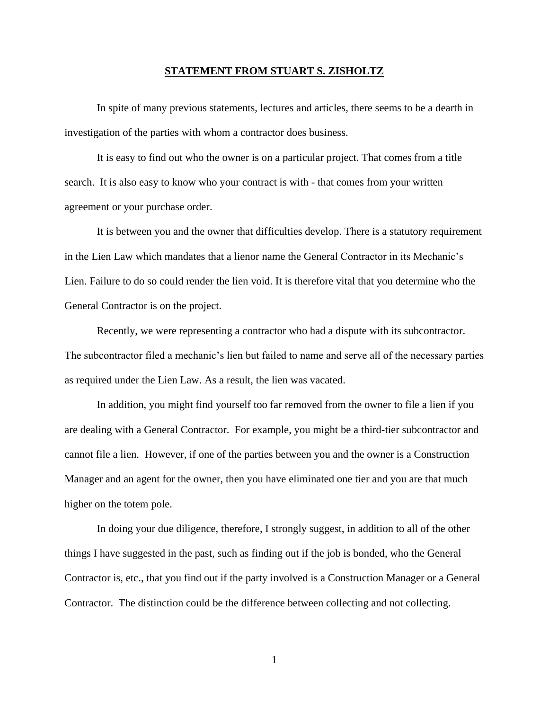## **STATEMENT FROM STUART S. ZISHOLTZ**

In spite of many previous statements, lectures and articles, there seems to be a dearth in investigation of the parties with whom a contractor does business.

It is easy to find out who the owner is on a particular project. That comes from a title search. It is also easy to know who your contract is with - that comes from your written agreement or your purchase order.

It is between you and the owner that difficulties develop. There is a statutory requirement in the Lien Law which mandates that a lienor name the General Contractor in its Mechanic's Lien. Failure to do so could render the lien void. It is therefore vital that you determine who the General Contractor is on the project.

Recently, we were representing a contractor who had a dispute with its subcontractor. The subcontractor filed a mechanic's lien but failed to name and serve all of the necessary parties as required under the Lien Law. As a result, the lien was vacated.

In addition, you might find yourself too far removed from the owner to file a lien if you are dealing with a General Contractor. For example, you might be a third-tier subcontractor and cannot file a lien. However, if one of the parties between you and the owner is a Construction Manager and an agent for the owner, then you have eliminated one tier and you are that much higher on the totem pole.

In doing your due diligence, therefore, I strongly suggest, in addition to all of the other things I have suggested in the past, such as finding out if the job is bonded, who the General Contractor is, etc., that you find out if the party involved is a Construction Manager or a General Contractor. The distinction could be the difference between collecting and not collecting.

1